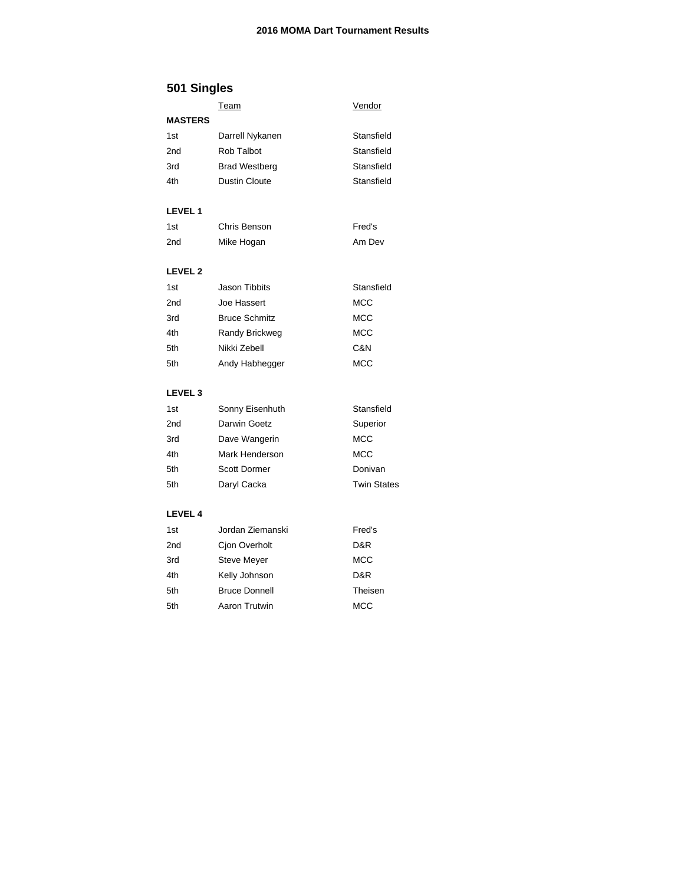### **2016 MOMA Dart Tournament Results**

# **501 Singles**

|                | <b>Team</b>          | Vendor             |
|----------------|----------------------|--------------------|
| <b>MASTERS</b> |                      |                    |
| 1st            | Darrell Nykanen      | Stansfield         |
| 2nd            | Rob Talbot           | Stansfield         |
| 3rd            | <b>Brad Westberg</b> | Stansfield         |
| 4th            | <b>Dustin Cloute</b> | Stansfield         |
| <b>LEVEL 1</b> |                      |                    |
| 1st            | Chris Benson         | Fred's             |
| 2nd            | Mike Hogan           | Am Dev             |
| <b>LEVEL 2</b> |                      |                    |
| 1st            | <b>Jason Tibbits</b> | Stansfield         |
| 2nd            | Joe Hassert          | <b>MCC</b>         |
| 3rd            | <b>Bruce Schmitz</b> | MCC                |
| 4th            | Randy Brickweg       | MCC                |
| 5th            | Nikki Zebell         | C&N                |
| 5th            | Andy Habhegger       | <b>MCC</b>         |
| <b>LEVEL 3</b> |                      |                    |
| 1st            | Sonny Eisenhuth      | Stansfield         |
| 2nd            | Darwin Goetz         | Superior           |
| 3rd            | Dave Wangerin        | <b>MCC</b>         |
| 4th            | Mark Henderson       | MCC                |
| 5th            | <b>Scott Dormer</b>  | Donivan            |
| 5th            | Daryl Cacka          | <b>Twin States</b> |
| <b>LEVEL 4</b> |                      |                    |
| 1st            | Jordan Ziemanski     | Fred's             |
| 2nd            | Cjon Overholt        | D&R                |
| 3rd            | <b>Steve Meyer</b>   | <b>MCC</b>         |
| 4th            | Kelly Johnson        | D&R                |

5th Bruce Donnell **Theisen** 5th Aaron Trutwin MCC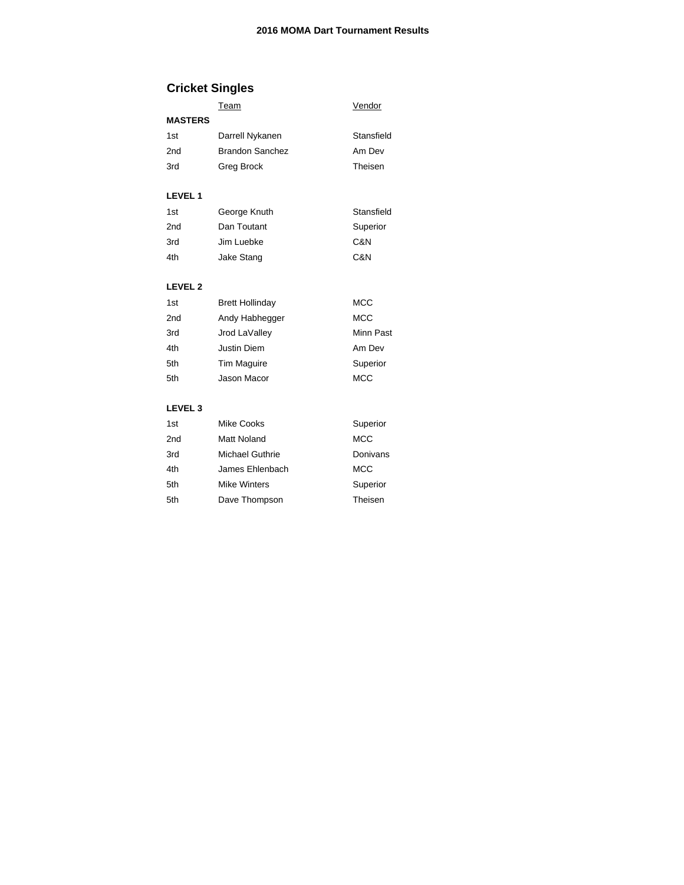Stansfield Am Dev Theisen

# **Cricket Singles**

|                | Team | Vendor |  |
|----------------|------|--------|--|
| <b>MASTERS</b> |      |        |  |

| 1st | Darrell Nykanen        |
|-----|------------------------|
| 2nd | <b>Brandon Sanchez</b> |
| 3rd | Greg Brock             |

#### **LEVEL 1**

| 1st             | George Knuth | Stansfield |
|-----------------|--------------|------------|
| 2 <sub>nd</sub> | Dan Toutant  | Superior   |
| 3rd             | Jim Luebke   | C&N        |
| 4th             | Jake Stang   | C&N        |

### **LEVEL 2**

| 1st             | <b>Brett Hollinday</b> | MCC        |
|-----------------|------------------------|------------|
| 2 <sub>nd</sub> | Andy Habhegger         | <b>MCC</b> |
| 3rd             | Jrod LaValley          | Minn Past  |
| 4th             | <b>Justin Diem</b>     | Am Dev     |
| 5th             | Tim Maguire            | Superior   |
| 5th             | Jason Macor            | <b>MCC</b> |

#### **LEVEL 3**

| 1st | <b>Mike Cooks</b>   | Superior   |
|-----|---------------------|------------|
| 2nd | Matt Noland         | <b>MCC</b> |
| 3rd | Michael Guthrie     | Donivans   |
| 4th | James Ehlenbach     | <b>MCC</b> |
| 5th | <b>Mike Winters</b> | Superior   |
| 5th | Dave Thompson       | Theisen    |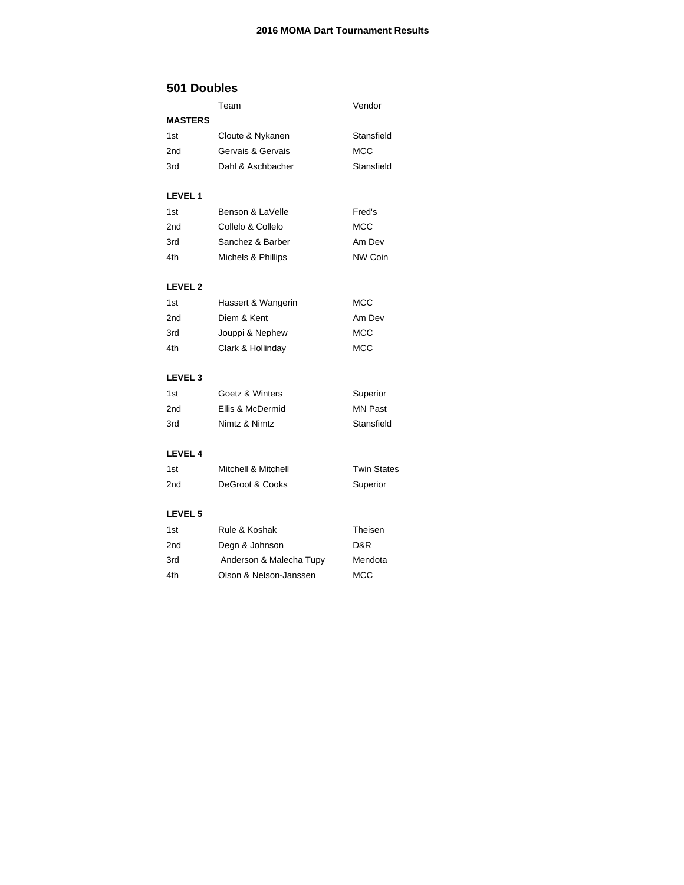## **501 Doubles**

|                | <u>Team</u>             | Vendor             |
|----------------|-------------------------|--------------------|
| <b>MASTERS</b> |                         |                    |
| 1st            | Cloute & Nykanen        | Stansfield         |
| 2nd            | Gervais & Gervais       | <b>MCC</b>         |
| 3rd            | Dahl & Aschbacher       | Stansfield         |
| <b>LEVEL 1</b> |                         |                    |
| 1st            | Benson & LaVelle        | Fred's             |
| 2nd            | Collelo & Collelo       | <b>MCC</b>         |
| 3rd            | Sanchez & Barber        | Am Dev             |
| 4th            | Michels & Phillips      | <b>NW Coin</b>     |
| <b>LEVEL 2</b> |                         |                    |
| 1st            | Hassert & Wangerin      | MCC                |
| 2nd            | Diem & Kent             | Am Dev             |
| 3rd            | Jouppi & Nephew         | MCC                |
| 4th            | Clark & Hollinday       | <b>MCC</b>         |
| <b>LEVEL 3</b> |                         |                    |
| 1st            | Goetz & Winters         | Superior           |
| 2nd            | Ellis & McDermid        | <b>MN Past</b>     |
| 3rd            | Nimtz & Nimtz           | Stansfield         |
| <b>LEVEL 4</b> |                         |                    |
| 1st            | Mitchell & Mitchell     | <b>Twin States</b> |
| 2nd            | DeGroot & Cooks         | Superior           |
| <b>LEVEL 5</b> |                         |                    |
| 1st            | Rule & Koshak           | Theisen            |
| 2nd            | Degn & Johnson          | D&R                |
| 3rd            | Anderson & Malecha Tupy | Mendota            |
| 4th            | Olson & Nelson-Janssen  | MCC                |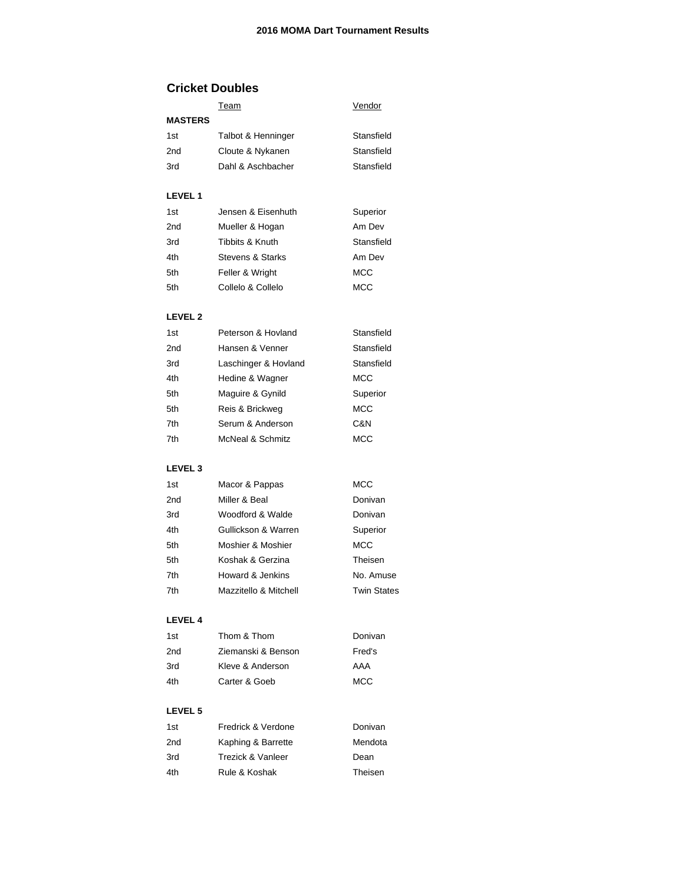## **Cricket Doubles**

|                 | <u>Team</u>                  | <u>Vendor</u>      |
|-----------------|------------------------------|--------------------|
| <b>MASTERS</b>  |                              |                    |
| 1st             | Talbot & Henninger           | Stansfield         |
| 2nd             | Cloute & Nykanen             | Stansfield         |
| 3rd             | Dahl & Aschbacher            | Stansfield         |
| <b>LEVEL 1</b>  |                              |                    |
| 1st             | Jensen & Eisenhuth           | Superior           |
| 2nd             | Mueller & Hogan              | Am Dev             |
| 3rd             | Tibbits & Knuth              | Stansfield         |
| 4th             | Stevens & Starks             | Am Dev             |
| 5th             | Feller & Wright              | MCC                |
| 5th             | Collelo & Collelo            | MCC                |
| <b>LEVEL 2</b>  |                              |                    |
| 1st             | Peterson & Hovland           | Stansfield         |
| 2nd             | Hansen & Venner              | Stansfield         |
| 3rd             | Laschinger & Hovland         | Stansfield         |
| 4th             | Hedine & Wagner              | MCC                |
| 5th             | Maguire & Gynild             | Superior           |
| 5th             | Reis & Brickweg              | MCC                |
| 7th             | Serum & Anderson             | C&N                |
| 7th             | <b>McNeal &amp; Schmitz</b>  | MCC                |
| <b>LEVEL 3</b>  |                              |                    |
| 1st             | Macor & Pappas               | MCC                |
| 2 <sub>nd</sub> | Miller & Beal                | Donivan            |
| 3rd             | Woodford & Walde             | Donivan            |
| 4th             | Gullickson & Warren          | Superior           |
| 5th             | Moshier & Moshier            | MCC                |
| 5th             | Koshak & Gerzina             | Theisen            |
| 7th             | Howard & Jenkins             | No. Amuse          |
| 7th             | Mazzitello & Mitchell        | <b>Twin States</b> |
| <b>LEVEL 4</b>  |                              |                    |
| 1st             | Thom & Thom                  | Donivan            |
| 2 <sub>nd</sub> | Ziemanski & Benson           | Fred's             |
| 3rd             | Kleve & Anderson             | AAA                |
| 4th             | Carter & Goeb                | MCC                |
| <b>LEVEL 5</b>  |                              |                    |
| 1st             | Fredrick & Verdone           | Donivan            |
| 2nd             | Kaphing & Barrette           | Mendota            |
| 3rd             | <b>Trezick &amp; Vanleer</b> | Dean               |
| 4th             | Rule & Koshak                | Theisen            |
|                 |                              |                    |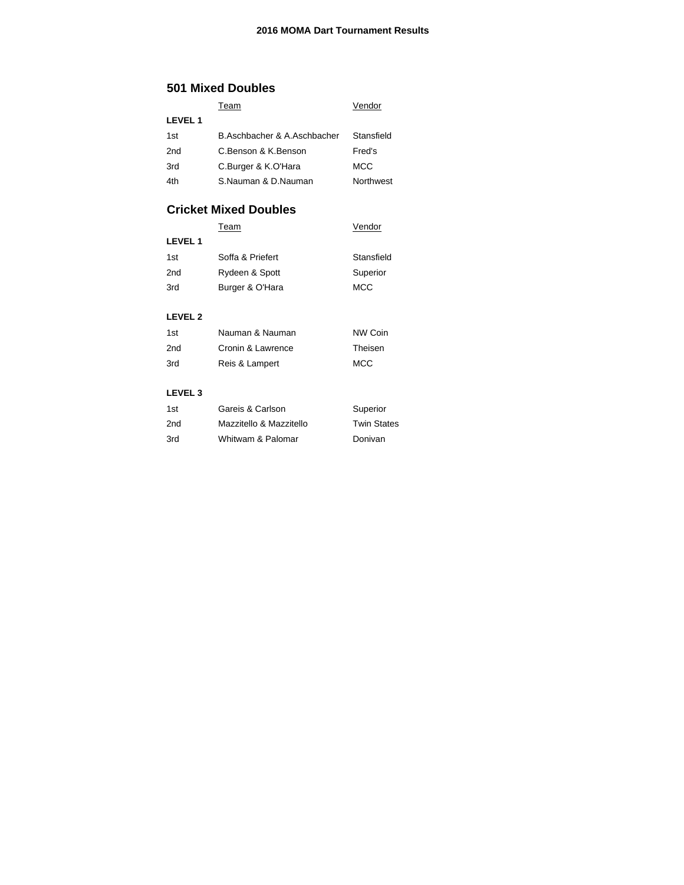## **501 Mixed Doubles**

|                 | Team                        | Vendor     |
|-----------------|-----------------------------|------------|
| <b>LEVEL 1</b>  |                             |            |
| 1st             | B.Aschbacher & A.Aschbacher | Stansfield |
| 2 <sub>nd</sub> | C.Benson & K.Benson         | Fred's     |
| 3rd             | C.Burger & K.O'Hara         | MCC        |
| 4th             | S.Nauman & D.Nauman         | Northwest  |

## **Cricket Mixed Doubles**

|                | Team             | Vendor     |
|----------------|------------------|------------|
| <b>LEVEL1</b>  |                  |            |
| 1st            | Soffa & Priefert | Stansfield |
| 2nd            | Rydeen & Spott   | Superior   |
| 3rd            | Burger & O'Hara  | <b>MCC</b> |
|                |                  |            |
| <b>LEVEL 2</b> |                  |            |
|                |                  |            |

| 1st | Nauman & Nauman   | NW Coin |
|-----|-------------------|---------|
| 2nd | Cronin & Lawrence | Theisen |
| 3rd | Reis & Lampert    | MCC     |

### **LEVEL 3**

| 1st | Gareis & Carlson        | Superior           |
|-----|-------------------------|--------------------|
| 2nd | Mazzitello & Mazzitello | <b>Twin States</b> |
| 3rd | Whitwam & Palomar       | Donivan            |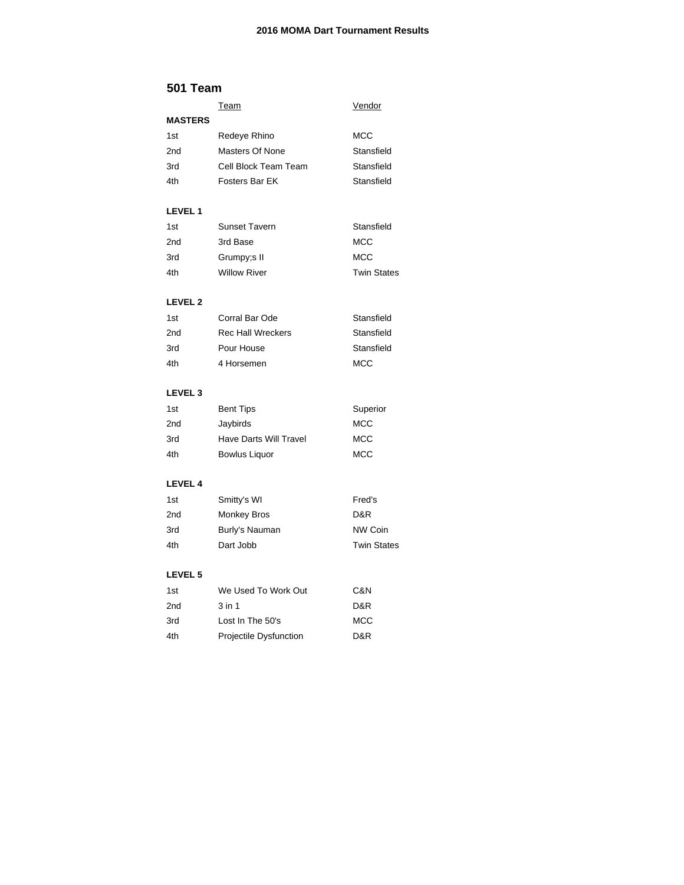### **2016 MOMA Dart Tournament Results**

### **501 Team**

|                    | <b>Team</b>                   | Vendor             |
|--------------------|-------------------------------|--------------------|
| <b>MASTERS</b>     |                               |                    |
| 1st                | Redeye Rhino                  | MCC                |
| 2nd                | <b>Masters Of None</b>        | Stansfield         |
| 3rd                | Cell Block Team Team          | Stansfield         |
| 4th                | Fosters Bar EK                | Stansfield         |
| <b>LEVEL 1</b>     |                               |                    |
| 1st                | <b>Sunset Tavern</b>          | Stansfield         |
| 2nd                | 3rd Base                      | MCC                |
| 3rd                | Grumpy;s II                   | <b>MCC</b>         |
| 4th                | <b>Willow River</b>           | <b>Twin States</b> |
| <b>LEVEL 2</b>     |                               |                    |
| 1st                | Corral Bar Ode                | Stansfield         |
| 2nd                | <b>Rec Hall Wreckers</b>      | Stansfield         |
| 3rd                | Pour House                    | Stansfield         |
| 4th                | 4 Horsemen                    | <b>MCC</b>         |
| LEVEL <sub>3</sub> |                               |                    |
| 1st                | <b>Bent Tips</b>              | Superior           |
| 2nd                | Jaybirds                      | MCC                |
| 3rd                | <b>Have Darts Will Travel</b> | MCC                |
| 4th                | <b>Bowlus Liquor</b>          | <b>MCC</b>         |
| <b>LEVEL 4</b>     |                               |                    |
| 1st                | Smitty's WI                   | Fred's             |
| 2nd                | <b>Monkey Bros</b>            | D&R                |
| 3rd                | Burly's Nauman                | NW Coin            |
| 4th                | Dart Jobb                     | <b>Twin States</b> |
| LEVEL 5            |                               |                    |
| 1st                | We Used To Work Out           | C&N                |
| 2nd                | $3$ in 1                      | D&R                |
| 3rd                | Lost In The 50's              | MCC                |

4th Projectile Dysfunction D&R